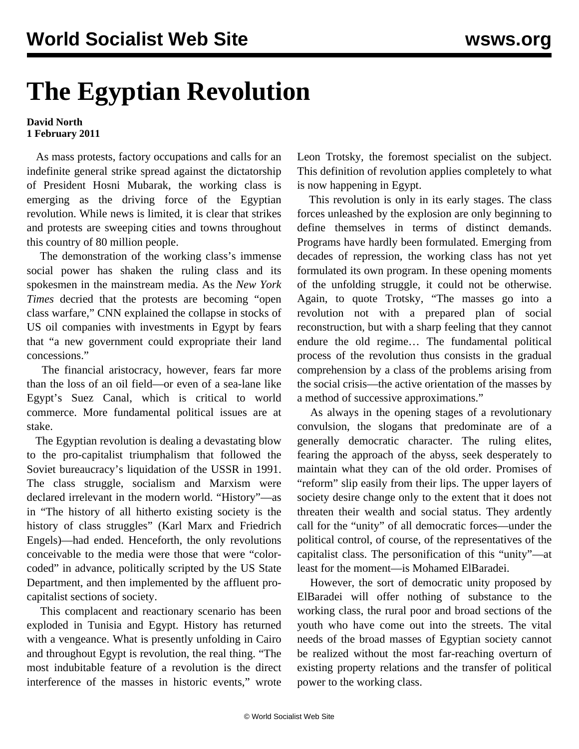## **The Egyptian Revolution**

## **David North 1 February 2011**

 As mass protests, factory occupations and calls for an indefinite general strike spread against the dictatorship of President Hosni Mubarak, the working class is emerging as the driving force of the Egyptian revolution. While news is limited, it is clear that strikes and protests are sweeping cities and towns throughout this country of 80 million people.

 The demonstration of the working class's immense social power has shaken the ruling class and its spokesmen in the mainstream media. As the *New York Times* decried that the protests are becoming "open class warfare," CNN explained the collapse in stocks of US oil companies with investments in Egypt by fears that "a new government could expropriate their land concessions."

 The financial aristocracy, however, fears far more than the loss of an oil field—or even of a sea-lane like Egypt's Suez Canal, which is critical to world commerce. More fundamental political issues are at stake.

 The Egyptian revolution is dealing a devastating blow to the pro-capitalist triumphalism that followed the Soviet bureaucracy's liquidation of the USSR in 1991. The class struggle, socialism and Marxism were declared irrelevant in the modern world. "History"—as in "The history of all hitherto existing society is the history of class struggles" (Karl Marx and Friedrich Engels)—had ended. Henceforth, the only revolutions conceivable to the media were those that were "colorcoded" in advance, politically scripted by the US State Department, and then implemented by the affluent procapitalist sections of society.

 This complacent and reactionary scenario has been exploded in Tunisia and Egypt. History has returned with a vengeance. What is presently unfolding in Cairo and throughout Egypt is revolution, the real thing. "The most indubitable feature of a revolution is the direct interference of the masses in historic events," wrote Leon Trotsky, the foremost specialist on the subject. This definition of revolution applies completely to what is now happening in Egypt.

 This revolution is only in its early stages. The class forces unleashed by the explosion are only beginning to define themselves in terms of distinct demands. Programs have hardly been formulated. Emerging from decades of repression, the working class has not yet formulated its own program. In these opening moments of the unfolding struggle, it could not be otherwise. Again, to quote Trotsky, "The masses go into a revolution not with a prepared plan of social reconstruction, but with a sharp feeling that they cannot endure the old regime… The fundamental political process of the revolution thus consists in the gradual comprehension by a class of the problems arising from the social crisis—the active orientation of the masses by a method of successive approximations."

 As always in the opening stages of a revolutionary convulsion, the slogans that predominate are of a generally democratic character. The ruling elites, fearing the approach of the abyss, seek desperately to maintain what they can of the old order. Promises of "reform" slip easily from their lips. The upper layers of society desire change only to the extent that it does not threaten their wealth and social status. They ardently call for the "unity" of all democratic forces—under the political control, of course, of the representatives of the capitalist class. The personification of this "unity"—at least for the moment—is Mohamed ElBaradei.

 However, the sort of democratic unity proposed by ElBaradei will offer nothing of substance to the working class, the rural poor and broad sections of the youth who have come out into the streets. The vital needs of the broad masses of Egyptian society cannot be realized without the most far-reaching overturn of existing property relations and the transfer of political power to the working class.